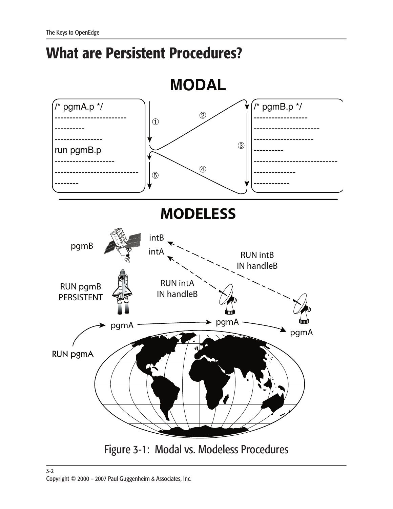## **What are Persistent Procedures?**